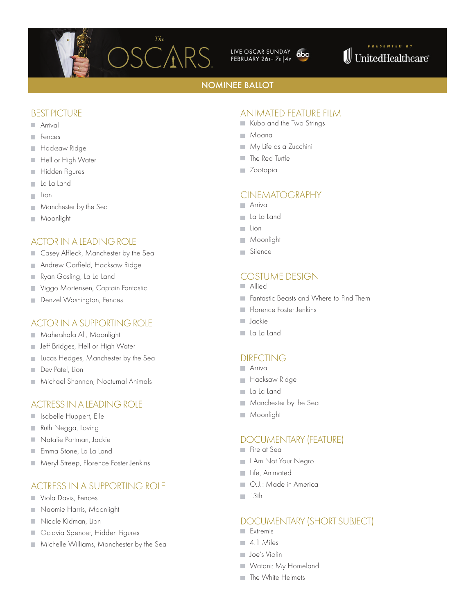

LIVE OSCAR SUNDAY abc FEBRUARY 26TH 7E 4P



### NOMINEE BALLOT

#### BEST PICTURE

- **Arrival**
- **Fences**
- Hacksaw Ridge  $\sim$
- Hell or High Water
- Hidden Figures n.
- La La Land ш
- Lion  $\mathcal{L}_{\mathcal{A}}$
- Manchester by the Sea  $\mathcal{C}$
- Moonlight ш

#### ACTOR IN A LEADING ROLE

- Casey Affleck, Manchester by the Sea **COL**
- Andrew Garfield, Hacksaw Ridge  $\sim$
- Ryan Gosling, La La Land  $\overline{\phantom{a}}$
- Viggo Mortensen, Captain Fantastic  $\sim$
- Denzel Washington, Fences  $\sim$

#### ACTOR IN A SUPPORTING ROLE

- Mahershala Ali, Moonlight ш
- **Jeff Bridges, Hell or High Water**
- Lucas Hedges, Manchester by the Sea
- Dev Patel, Lion ш
- **Michael Shannon, Nocturnal Animals**

#### ACTRESS IN A LEADING ROLE

- Isabelle Huppert, Elle
- Ruth Negga, Loving
- Natalie Portman, Jackie
- Emma Stone, La La Land  $\sim$
- **Meryl Streep, Florence Foster Jenkins**

### ACTRESS IN A SUPPORTING ROLE

- **Viola Davis, Fences**
- Naomie Harris, Moonlight
- Nicole Kidman, Lion **COL**
- п Octavia Spencer, Hidden Figures
- **Michelle Williams, Manchester by the Sea**

### ANIMATED FEATURE FILM

- Kubo and the Two Strings
- Moana
- **My Life as a Zucchini**
- **The Red Turtle**
- **Zootopia**

### CINEMATOGRAPHY

- Arrival
- La La Land
- Lion m.
- Moonlight  $\mathcal{L}_{\mathcal{A}}$
- Silence

### COSTUME DESIGN

- Allied
- **Fantastic Beasts and Where to Find Them**
- Florence Foster Jenkins
- **Jackie**
- La La Land

#### DIRECTING

- **Arrival**
- **Hacksaw Ridge**
- La La Land
- **Manchester by the Sea**
- **Moonlight**

### DOCUMENTARY (FEATURE)

- Fire at Sea
- **I** I Am Not Your Negro
- Life, Animated
- O.J.: Made in America m.
- $13th$

### DOCUMENTARY (SHORT SUBJECT)

- **Extremis**
- 4.1 Miles
- **Joe's Violin**
- Watani: My Homeland
- The White Helmets